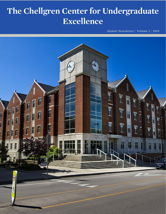# **The Chellgren Center for Undergraduate Excellence**

Alumni Newsletter | Volume I | 2019

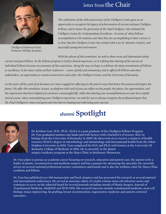

Chellgren Endowed Chair, Professor Philipp Kraemer

#### letter from the Chair

*The celebration of the 10th anniversary of the Chellgren Center gave us an opportunity to recognize the legacy of achievements of current and past Chellgren Fellows, and to honor the generosity of Mr. Paul Chellgren, who initiated the Chellgren Center for Undergraduate Excellence. In terms of what Fellows accomplished as UK students and what they are accomplishing in their careers, it is clear that the Chellgren Center has worked with a set of talented, creative, and successful young men and women.* 

 *With the advent of this newsletter, we seek to share news and information about* 

*current and past Fellows. As the Fellows program is itself a shared experience, so it is fitting that sharing of the success of individual Fellows becomes an extension of that experience. Along the way, we hope to celebrate the deep commitment of Fellows to excellence, in the many realms of their endeavors – career, family and community, and to afford all Fellows and other stakeholders, an opportunity to remain connected to each other, the Chellgren Center, and the University of Kentucky.* 

*As the years roll by, each of us becomes ever more engaged in reflecting on the past in ways that honor the present and inspire the future. We offer this newsletter, in part, as platform with each of you can reflect on the people, the places, the opportunities, and the experiences that have helped you construct a meaningful life, while also sharing your accomplishments as your lives unfold. And of course, when contemplating your Chellgren experience, we wish for you to always recognize the profound impact that Mr. Paul Chellgren's vision and generosity has had on shaping and cultivating your success.* 

## **alumni Spotlight**



Dr. Krishna Vyas, M.D., Ph.D., M.H.S. is a past graduate of the Chellgren Fellows Program. Dr. Vyas graduated summa cum laude and with honors with a bachelor's of science (B.S.) in biology from the University of Kentucky in 2009. He then went on to receive a master's of health sciences (M.H.S.) degree in microbiology and immunology and international health from the Johns Hopkins University in 2010. Vyas completed his M.D. and Ph.D. with honors at the University Of Kentucky College of Medicine in 2016. He is currently in the plastic surgery residency program at the Mayo Clinic in Rochester, Minnesota.

Dr. Vyas plans to pursue an academic career focusing on research, education and patient care. He aspires to be a leader in plastic, reconstructive and aesthetic surgery and has a passion for advancing the specialty. He currently serves on several national professional society committees and boards and is also the wellness chair for Mayo Clinic residents and fellows.

Dr. Vyas has published over 100 manuscripts and book chapters and has presented his research at several national and international conferences. He served as associate editor of a multi-volume stem cell reference series and continues to serve on the editorial board for several journals including Annals of Plastic Surgery, Journal of Translational Medicine, MedONE and WOUNDS. His research interests include translational medicine, stem cell biology, tissue engineering, fat grafting, breast reconstruction, regenerative medicine and patient-centered outcomes.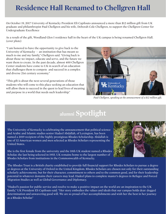# **Residence Hall Renamed to Chellgren Hall**

On October 19, 2017 University of Kentucky President Eli Capilouto announced a more than \$12 million gift from UK graduate and philanthropist Paul Chellgren and his wife, Deborah Cole Chellgren, to support the Chellgren Center for Undergraduate Excellence

As a result of the gift, Woodland Glen I residence hall in the heart of the UK campus is being renamed Chellgren Hall. (*cover photo*)

"I am honored to have the opportunity to give back to the University of Kentucky  $-$  an institution that has meant so much to me and my family," Chellgren said. "Giving back is about those we impact, educate and serve, and the future we want them to create. In the past decade, almost 400 Chellgren Center students have come to UK in search of an education that challenges them to compete and succeed in a complex and diverse 21st century economy."

"This gift is about the next several generations of those students who will come to this place seeking an education that will allow them to succeed in the quest to lead lives of meaning and purpose in a world that needs such leadership."



*Paul Chellgren, speaking at the annoucement of a \$12 million gift.*

### **alumni Spotlight**

The University of Kentucky is celebrating the announcement that political science and Arabic and Islamic studies senior Hadeel Abdallah, of Lexington, has been named a 2019 recipient of the highly prestigious Rhodes Scholarship. Abdallah is one of 32 American women and men selected as Rhodes Scholars representing the United States.

She is the first female from the university and the 10th UK student named a Rhodes Scholar, the last being selected in 1955. UK remains home to the largest number of Rhodes Scholars from institutions in the Commonwealth of Kentucky.

The Rhodes Trust is a British charity established to provide full financial support for Rhodes Scholars to pursue a degree or degrees at the University of Oxford in the United Kingdom. Rhodes Scholars are chosen not only for their outstanding scholarly achievements, but for their character, commitment to others and to the common good, and for their leadership potential in whatever domains their careers may lead. Hadeel plans to complete master's degrees in Refugee and Forced Migration Studies as well as Global Governance and Diplomacy.

"Hadeel's passion for public service and resolve to make a positive impact on the world are an inspiration to the UK family," UK President Eli Capilouto said. "Her story embodies the values and ideals that our campus holds dear: dogged determination and unwavering good will. We are so proud of her accomplishments and wish her the best in her journey as a Rhodes Scholar."